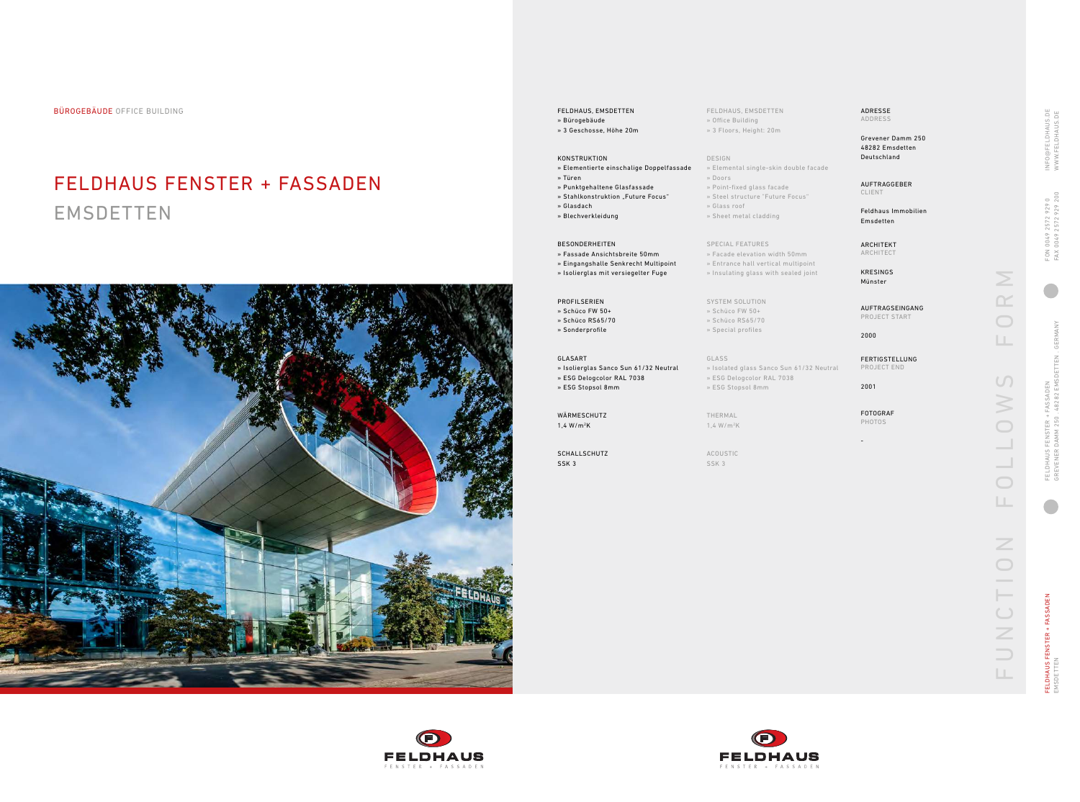BÜROGEBÄUDE OFFICE BUILDING FELDHAUS, EMSDETTEN

# FELDHAUS FENSTER + FASSADEN **EMSDETTEN**



FELDHAUS, EMSDETTEN » Office Building » 3 Floors, Height: 20m

DESIGN

» Elemental single-skin double facade

» Doors

» Point-fixed glass facade » Steel structure "Future Focus"

» Glass roof

» Sheet metal cladding

SPECIAL FEATURES

ELDHAUS FENSTER + FASSADEN<br>MSDETTEN FELDHAUS FENSTER + FASSADEN EMSDETTEN

» Facade elevation width 50mm » Entrance hall vertical multipoint » Insulating glass with sealed joint

- SYSTEM SOLUTION
- » Schüco FW 50+
- » Schüco RS65/70
- » Special profiles

GLASS

- » Isolated glass Sanco Sun 61/32 Neutral » ESG Delogcolor RAL 7038
- » ESG Stopsol 8mm

THERMAL 1,4 W/m 2 K

ACOUSTIC SSK 3







- » Bürogebäude
- » 3 Geschosse, Höhe 20m

## KONSTRUKTION

- » Elementierte einschalige Doppelfassade » Türen
- » Punktgehaltene Glasfassade
- » Stahlkonstruktion "Future Focus"
- » Glasdach
- 
- » Blechverkleidung

### BESONDERHEITEN

- » Fassade Ansichtsbreite 50mm
- » Eingangshalle Senkrecht Multipoint
- » Isolierglas mit versiegelter Fuge

PROFILSERIEN » Schüco FW 50+ » Schüco RS65/70 » Sonderprofile

### GLASART

- » Isolierglas Sanco Sun 61/32 Neutral
- » ESG Delogcolor RAL 7038
- » ESG Stopsol 8mm

WÄRMESCHUTZ 1,4 W/m 2 K

SCHALLSCHUTZ SSK 3

ADRESSE ADDRESS

Grevener Damm 250 48282 Emsdetten Deutschland

AUFTRAGGEBER CLIENT

Feldhaus Immobilien Emsdetten

ARCHITEKT ARCHITECT

KRESINGS Münster

AUFTRAGSEINGANG PROJECT START

2000

FERTIGSTELLUNG PROJECT END

2001

FOTOGRAF PHOTOS

-

 $\frac{N}{N}$ FUNCTION FOLLOWS FORM  $\bigcirc$ LL.  $\Omega$  $\geqslant$  $\bigcirc$  $\bigcirc$ LL. UNCTION  $\Box$